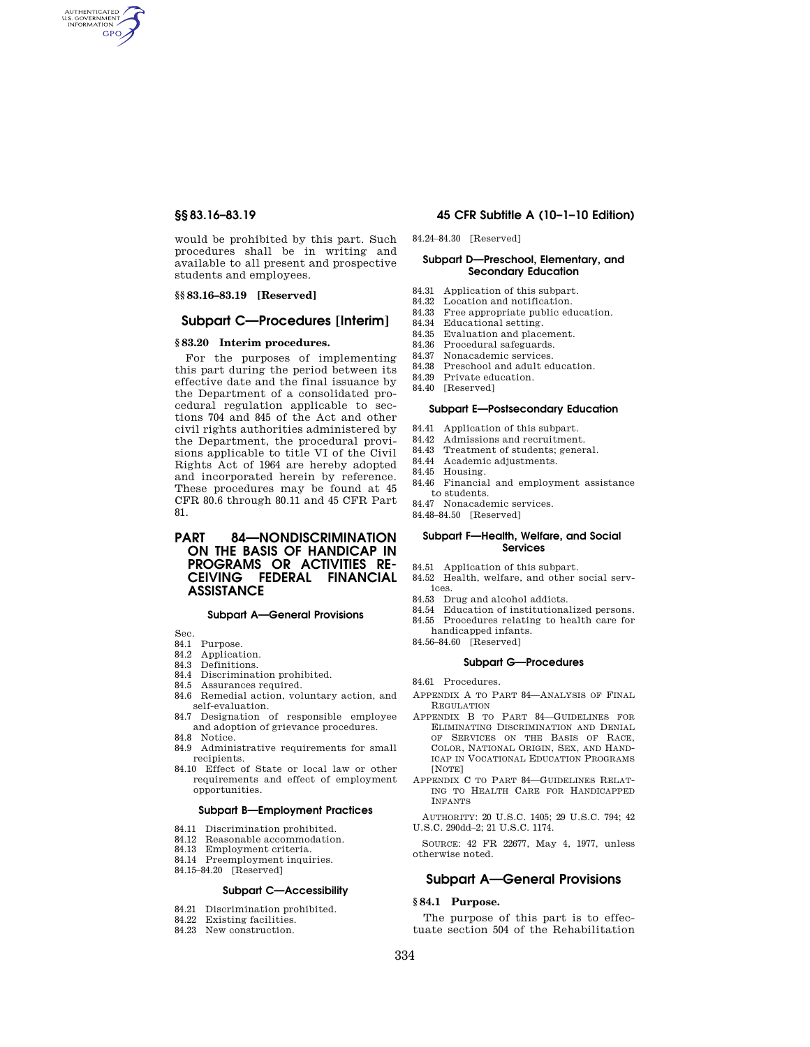AUTHENTICATED<br>U.S. GOVERNMENT<br>INFORMATION **GPO** 

> would be prohibited by this part. Such procedures shall be in writing and available to all present and prospective students and employees.

## **§§ 83.16–83.19 [Reserved]**

## **Subpart C—Procedures [Interim]**

### **§ 83.20 Interim procedures.**

For the purposes of implementing this part during the period between its effective date and the final issuance by the Department of a consolidated procedural regulation applicable to sections 704 and 845 of the Act and other civil rights authorities administered by the Department, the procedural provisions applicable to title VI of the Civil Rights Act of 1964 are hereby adopted and incorporated herein by reference. These procedures may be found at 45 CFR 80.6 through 80.11 and 45 CFR Part 81.

**PART 84—NONDISCRIMINATION ON THE BASIS OF HANDICAP IN PROGRAMS OR ACTIVITIES RE-CEIVING FEDERAL FINANCIAL ASSISTANCE** 

### **Subpart A—General Provisions**

Sec.

- 84.1 Purpose.
- 84.2 Application.
- 84.3 Definitions.
- 84.4 Discrimination prohibited.
- 84.5 Assurances required.
- 84.6 Remedial action, voluntary action, and self-evaluation.
- 84.7 Designation of responsible employee and adoption of grievance procedures. 84.8 Notice.
- 84.9 Administrative requirements for small recipients.
- 84.10 Effect of State or local law or other requirements and effect of employment opportunities.

#### **Subpart B—Employment Practices**

- 84.11 Discrimination prohibited.
- 84.12 Reasonable accommodation.
- 84.13 Employment criteria.
- 84.14 Preemployment inquiries.
- 84.15–84.20 [Reserved]

## **Subpart C—Accessibility**

- 84.21 Discrimination prohibited.
- 84.22 Existing facilities.
- 84.23 New construction.

## **§§ 83.16–83.19 45 CFR Subtitle A (10–1–10 Edition)**

84.24–84.30 [Reserved]

## **Subpart D—Preschool, Elementary, and Secondary Education**

- 84.31 Application of this subpart. 84.32 Location and notification.
- 84.33 Free appropriate public education.
- 84.34 Educational setting.
- 84.35 Evaluation and placement.
- 84.36 Procedural safeguards.
- 84.37 Nonacademic services.
- 84.38 Preschool and adult education.<br>84.39 Private education
- Private education.
- 84.40 [Reserved]

#### **Subpart E—Postsecondary Education**

- 84.41 Application of this subpart.<br>84.42 Admissions and recruitment
- Admissions and recruitment.
- 84.43 Treatment of students; general.
- 84.44 Academic adjustments.
- 84.45 Housing.
- 84.46 Financial and employment assistance to students.
- 84.47 Nonacademic services.
- 84.48–84.50 [Reserved]

### **Subpart F—Health, Welfare, and Social Services**

- 84.51 Application of this subpart.
- 84.52 Health, welfare, and other social services.
- 84.53 Drug and alcohol addicts.
- 84.54 Education of institutionalized persons.
- 84.55 Procedures relating to health care for
- handicapped infants.
- 84.56–84.60 [Reserved]

### **Subpart G—Procedures**

- 84.61 Procedures.
- APPENDIX A TO PART 84—ANALYSIS OF FINAL REGULATION
- APPENDIX B TO PART 84—GUIDELINES FOR ELIMINATING DISCRIMINATION AND DENIAL OF SERVICES ON THE BASIS OF RACE, COLOR, NATIONAL ORIGIN, SEX, AND HAND-ICAP IN VOCATIONAL EDUCATION PROGRAMS [NOTE]
- APPENDIX C TO PART 84—GUIDELINES RELAT-ING TO HEALTH CARE FOR HANDICAPPED INFANTS

AUTHORITY: 20 U.S.C. 1405; 29 U.S.C. 794; 42 U.S.C. 290dd–2; 21 U.S.C. 1174.

SOURCE: 42 FR 22677, May 4, 1977, unless otherwise noted.

# **Subpart A—General Provisions**

## **§ 84.1 Purpose.**

The purpose of this part is to effectuate section 504 of the Rehabilitation